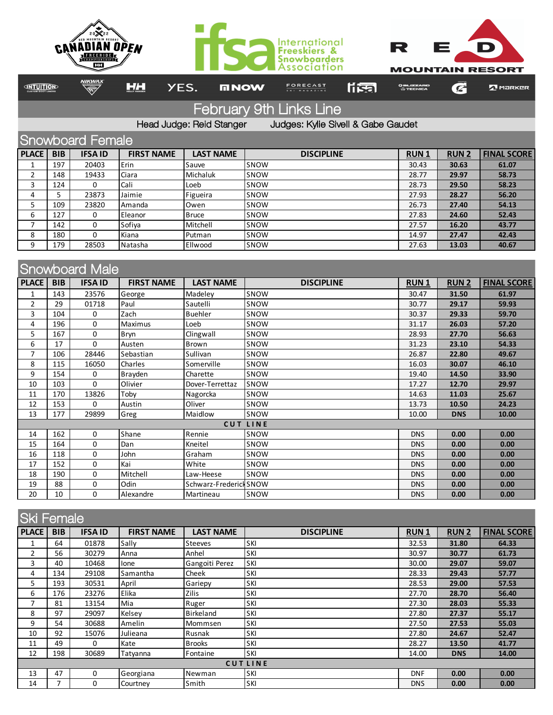

February 9th Links Line

Head Judge: Reid Stanger Judges: Kylie Sivell & Gabe Gaudet

| Snowboard Female |            |               |                   |                  |                   |             |              |                    |  |
|------------------|------------|---------------|-------------------|------------------|-------------------|-------------|--------------|--------------------|--|
| <b>PLACE</b>     | <b>BIB</b> | <b>IFSAID</b> | <b>FIRST NAME</b> | <b>LAST NAME</b> | <b>DISCIPLINE</b> | <b>RUN1</b> | <b>RUN 2</b> | <b>FINAL SCORE</b> |  |
|                  | 197        | 20403         | Erin              | Sauve            | SNOW              | 30.43       | 30.63        | 61.07              |  |
|                  | 148        | 19433         | Ciara             | Michaluk         | SNOW              | 28.77       | 29.97        | 58.73              |  |
| 3                | 124        | 0             | Cali              | Loeb             | SNOW              | 28.73       | 29.50        | 58.23              |  |
| 4                | 5.         | 23873         | Jaimie            | Figueira         | SNOW              | 27.93       | 28.27        | 56.20              |  |
| כ                | 109        | 23820         | Amanda            | Owen             | SNOW              | 26.73       | 27.40        | 54.13              |  |
| 6                | 127        | 0             | Eleanor           | <b>Bruce</b>     | SNOW              | 27.83       | 24.60        | 52.43              |  |
|                  | 142        | 0             | Sofiya            | Mitchell         | SNOW              | 27.57       | 16.20        | 43.77              |  |
| 8                | 180        | 0             | Kiana             | Putman           | SNOW              | 14.97       | 27.47        | 42.43              |  |
| 9                | 179        | 28503         | Natasha           | Ellwood          | SNOW              | 27.63       | 13.03        | 40.67              |  |

| <b>Snowboard Male</b> |            |               |                   |                        |                   |             |             |                    |  |
|-----------------------|------------|---------------|-------------------|------------------------|-------------------|-------------|-------------|--------------------|--|
| <b>PLACE</b>          | <b>BIB</b> | <b>IFSAID</b> | <b>FIRST NAME</b> | <b>LAST NAME</b>       | <b>DISCIPLINE</b> | <b>RUN1</b> | <b>RUN2</b> | <b>FINAL SCORE</b> |  |
| 1                     | 143        | 23576         | George            | Madeley                | SNOW              | 30.47       | 31.50       | 61.97              |  |
| $\overline{2}$        | 29         | 01718         | Paul              | Sautelli               | SNOW              | 30.77       | 29.17       | 59.93              |  |
| 3                     | 104        | 0             | Zach              | <b>Buehler</b>         | SNOW              | 30.37       | 29.33       | 59.70              |  |
| 4                     | 196        | 0             | Maximus           | Loeb                   | SNOW              | 31.17       | 26.03       | 57.20              |  |
| 5                     | 167        | 0             | Bryn              | Clingwall              | SNOW              | 28.93       | 27.70       | 56.63              |  |
| 6                     | 17         | $\Omega$      | Austen            | <b>Brown</b>           | SNOW              | 31.23       | 23.10       | 54.33              |  |
| $\overline{7}$        | 106        | 28446         | Sebastian         | Sullivan               | SNOW              | 26.87       | 22.80       | 49.67              |  |
| 8                     | 115        | 16050         | Charles           | Somerville             | SNOW              | 16.03       | 30.07       | 46.10              |  |
| 9                     | 154        | 0             | Brayden           | Charette               | SNOW              | 19.40       | 14.50       | 33.90              |  |
| 10                    | 103        | $\Omega$      | Olivier           | Dover-Terrettaz        | SNOW              | 17.27       | 12.70       | 29.97              |  |
| 11                    | 170        | 13826         | Toby              | Nagorcka               | SNOW              | 14.63       | 11.03       | 25.67              |  |
| 12                    | 153        | 0             | Austin            | Oliver                 | SNOW              | 13.73       | 10.50       | 24.23              |  |
| 13                    | 177        | 29899         | Greg              | Maidlow                | SNOW              | 10.00       | <b>DNS</b>  | 10.00              |  |
|                       |            |               |                   |                        | <b>CUT LINE</b>   |             |             |                    |  |
| 14                    | 162        | $\mathbf 0$   | Shane             | Rennie                 | SNOW              | <b>DNS</b>  | 0.00        | 0.00               |  |
| 15                    | 164        | 0             | Dan               | Kneitel                | SNOW              | <b>DNS</b>  | 0.00        | 0.00               |  |
| 16                    | 118        | 0             | John              | Graham                 | SNOW              | <b>DNS</b>  | 0.00        | 0.00               |  |
| 17                    | 152        | 0             | Kai               | White                  | SNOW              | <b>DNS</b>  | 0.00        | 0.00               |  |
| 18                    | 190        | 0             | Mitchell          | Law-Heese              | SNOW              | <b>DNS</b>  | 0.00        | 0.00               |  |
| 19                    | 88         | 0             | Odin              | Schwarz-Frederick SNOW |                   | <b>DNS</b>  | 0.00        | 0.00               |  |
| 20                    | 10         | $\Omega$      | Alexandre         | Martineau              | SNOW              | <b>DNS</b>  | 0.00        | 0.00               |  |

| <b>Ski Female</b> |                |               |                   |                  |                   |             |             |                    |  |
|-------------------|----------------|---------------|-------------------|------------------|-------------------|-------------|-------------|--------------------|--|
| <b>PLACE</b>      | <b>BIB</b>     | <b>IFSAID</b> | <b>FIRST NAME</b> | <b>LAST NAME</b> | <b>DISCIPLINE</b> | <b>RUN1</b> | <b>RUN2</b> | <b>FINAL SCORE</b> |  |
|                   | 64             | 01878         | Sally             | Steeves          | SKI               | 32.53       | 31.80       | 64.33              |  |
| 2                 | 56             | 30279         | Anna              | Anhel            | SKI               | 30.97       | 30.77       | 61.73              |  |
| 3                 | 40             | 10468         | lone              | Gangoiti Perez   | SKI               | 30.00       | 29.07       | 59.07              |  |
| 4                 | 134            | 29108         | Samantha          | Cheek            | SKI               | 28.33       | 29.43       | 57.77              |  |
| 5                 | 193            | 30531         | April             | Gariepy          | SKI               | 28.53       | 29.00       | 57.53              |  |
| 6                 | 176            | 23276         | Elika             | <b>Zilis</b>     | SKI               | 27.70       | 28.70       | 56.40              |  |
| 7                 | 81             | 13154         | Mia               | Ruger            | SKI               | 27.30       | 28.03       | 55.33              |  |
| 8                 | 97             | 29097         | Kelsey            | <b>Birkeland</b> | SKI               | 27.80       | 27.37       | 55.17              |  |
| 9                 | 54             | 30688         | Amelin            | Mommsen          | SKI               | 27.50       | 27.53       | 55.03              |  |
| 10                | 92             | 15076         | Julieana          | Rusnak           | SKI               | 27.80       | 24.67       | 52.47              |  |
| 11                | 49             | 0             | Kate              | <b>Brooks</b>    | SKI               | 28.27       | 13.50       | 41.77              |  |
| 12                | 198            | 30689         | Tatyanna          | Fontaine         | SKI               | 14.00       | <b>DNS</b>  | 14.00              |  |
|                   | <b>CUTLINE</b> |               |                   |                  |                   |             |             |                    |  |
| 13                | 47             | 0             | Georgiana         | Newman           | SKI               | <b>DNF</b>  | 0.00        | 0.00               |  |
| 14                | 7              | 0             | Courtney          | Smith            | SKI               | <b>DNS</b>  | 0.00        | 0.00               |  |